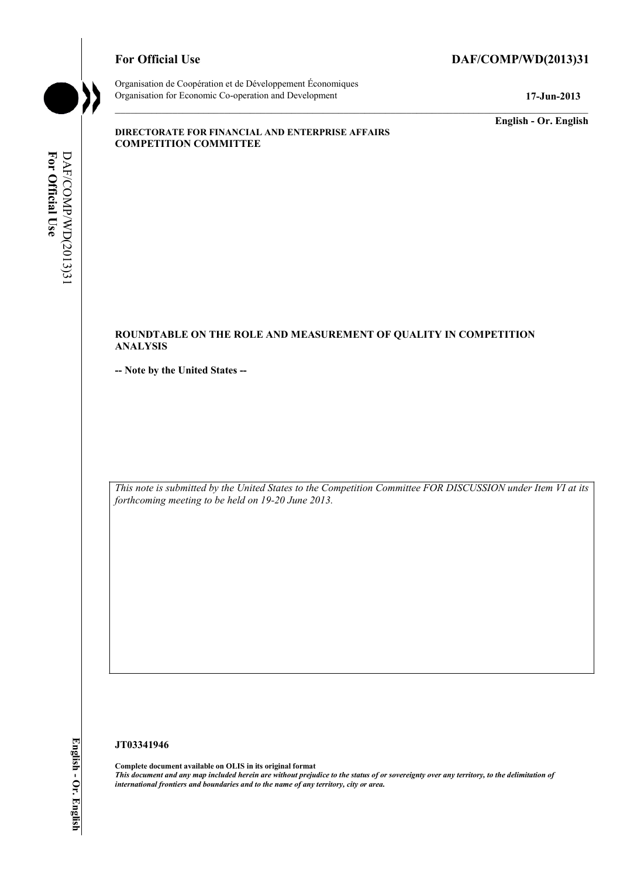# For Official Use DAF/COMP/WD(2013)31



Organisation de Coopération et de Développement Économiques Organisation for Economic Co-operation and Development **17-Jun-2013** 

**English - Or. English** 

#### **DIRECTORATE FOR FINANCIAL AND ENTERPRISE AFFAIRS COMPETITION COMMITTEE**

# For Official Use DAF/COMP/WD(2013)31 **For Official Use**  DAF/COMP/WD(2013)31

#### **ROUNDTABLE ON THE ROLE AND MEASUREMENT OF QUALITY IN COMPETITION ANALYSIS**

**-- Note by the United States --** 

 *This note is submitted by the United States to the Competition Committee FOR DISCUSSION under Item VI at its forthcoming meeting to be held on 19-20 June 2013.* 

#### **JT03341946**

 **Complete document available on OLIS in its original format**   *This document and any map included herein are without prejudice to the status of or sovereignty over any territory, to the delimitation of international frontiers and boundaries and to the name of any territory, city or area.*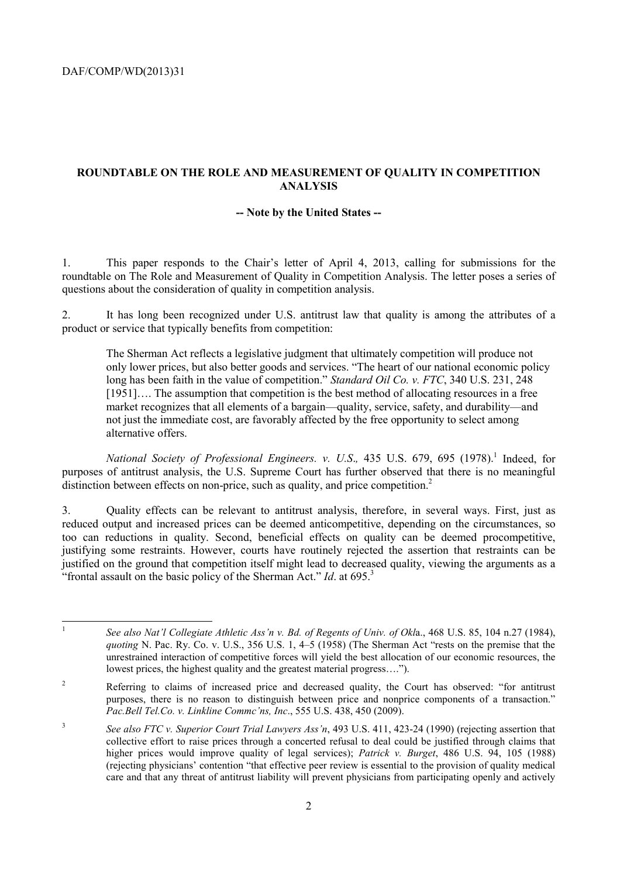$\overline{a}$ 

#### **ROUNDTABLE ON THE ROLE AND MEASUREMENT OF QUALITY IN COMPETITION ANALYSIS**

#### **-- Note by the United States --**

 questions about the consideration of quality in competition analysis. 1. This paper responds to the Chair's letter of April 4, 2013, calling for submissions for the roundtable on The Role and Measurement of Quality in Competition Analysis. The letter poses a series of

2. It has long been recognized under U.S. antitrust law that quality is among the attributes of a product or service that typically benefits from competition:

The Sherman Act reflects a legislative judgment that ultimately competition will produce not only lower prices, but also better goods and services. "The heart of our national economic policy long has been faith in the value of competition." *Standard Oil Co. v. FTC*, 340 U.S. 231, 248 [1951]... The assumption that competition is the best method of allocating resources in a free market recognizes that all elements of a bargain—quality, service, safety, and durability—and not just the immediate cost, are favorably affected by the free opportunity to select among alternative offers.

National Society of Professional Engineers. v. U.S., 435 U.S. 679, 695 (1978).<sup>1</sup> Indeed, for purposes of antitrust analysis, the U.S. Supreme Court has further observed that there is no meaningful distinction between effects on non-price, such as quality, and price competition.<sup>2</sup>

3. Quality effects can be relevant to antitrust analysis, therefore, in several ways. First, just as reduced output and increased prices can be deemed anticompetitive, depending on the circumstances, so too can reductions in quality. Second, beneficial effects on quality can be deemed procompetitive, justifying some restraints. However, courts have routinely rejected the assertion that restraints can be justified on the ground that competition itself might lead to decreased quality, viewing the arguments as a "frontal assault on the basic policy of the Sherman Act." *Id.* at 695.<sup>3</sup>

 *quoting* N. Pac. Ry. Co. v. U.S., 356 U.S. 1, 4–5 (1958) (The Sherman Act "rests on the premise that the unrestrained interaction of competitive forces will yield the best allocation of our economic resources, the <sup>1</sup>*See also Nat'l Collegiate Athletic Ass'n v. Bd. of Regents of Univ. of Okl*a., 468 U.S. 85, 104 n.27 (1984), lowest prices, the highest quality and the greatest material progress….").

<sup>&</sup>lt;sup>2</sup> Referring to claims of increased price and decreased quality, the Court has observed: "for antitrust purposes, there is no reason to distinguish between price and nonprice components of a transaction." *Pac.Bell Tel.Co. v. Linkline Commc'ns, Inc*., 555 U.S. 438, 450 (2009).

 higher prices would improve quality of legal services); *Patrick v. Burget*, 486 U.S. 94, 105 (1988) (rejecting physicians' contention "that effective peer review is essential to the provision of quality medical care and that any threat of antitrust liability will prevent physicians from participating openly and actively <sup>3</sup>*See also FTC v. Superior Court Trial Lawyers Ass'n*, 493 U.S. 411, 423-24 (1990) (rejecting assertion that collective effort to raise prices through a concerted refusal to deal could be justified through claims that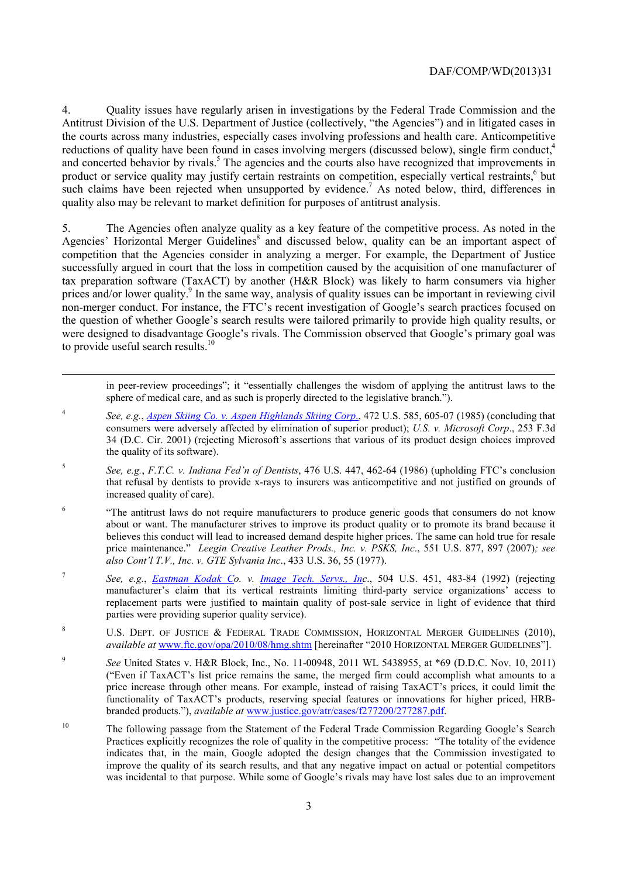4. Quality issues have regularly arisen in investigations by the Federal Trade Commission and the Antitrust Division of the U.S. Department of Justice (collectively, "the Agencies") and in litigated cases in the courts across many industries, especially cases involving professions and health care. Anticompetitive reductions of quality have been found in cases involving mergers (discussed below), single firm conduct,<sup>4</sup> and concerted behavior by rivals.<sup>5</sup> The agencies and the courts also have recognized that improvements in product or service quality may justify certain restraints on competition, especially vertical restraints,<sup>6</sup> but such claims have been rejected when unsupported by evidence.<sup>7</sup> As noted below, third, differences in quality also may be relevant to market definition for purposes of antitrust analysis.

to provide useful search results.<sup>10</sup> 5. The Agencies often analyze quality as a key feature of the competitive process. As noted in the Agencies' Horizontal Merger Guidelines<sup>8</sup> and discussed below, quality can be an important aspect of competition that the Agencies consider in analyzing a merger. For example, the Department of Justice successfully argued in court that the loss in competition caused by the acquisition of one manufacturer of tax preparation software (TaxACT) by another (H&R Block) was likely to harm consumers via higher prices and/or lower quality.<sup>9</sup> In the same way, analysis of quality issues can be important in reviewing civil non-merger conduct. For instance, the FTC's recent investigation of Google's search practices focused on the question of whether Google's search results were tailored primarily to provide high quality results, or were designed to disadvantage Google's rivals. The Commission observed that Google's primary goal was

in peer-review proceedings"; it "essentially challenges the wisdom of applying the antitrust laws to the sphere of medical care, and as such is properly directed to the legislative branch.").

<sup>4</sup>*See, e.g.*, *Aspen Skiing Co. v. Aspen Highlands Skiing Corp*., 472 U.S. 585, 605-07 (1985) (concluding that consumers were adversely affected by elimination of superior product); *U.S. v. Microsoft Corp*., 253 F.3d 34 (D.C. Cir. 2001) (rejecting Microsoft's assertions that various of its product design choices improved the quality of its software).

1

- <sup>5</sup>*See, e.g.*, *F.T.C. v. Indiana Fed'n of Dentists*, 476 U.S. 447, 462-64 (1986) (upholding FTC's conclusion that refusal by dentists to provide x-rays to insurers was anticompetitive and not justified on grounds of increased quality of care).
- about or want. The manufacturer strives to improve its product quality or to promote its brand because it 6 "The antitrust laws do not require manufacturers to produce generic goods that consumers do not know believes this conduct will lead to increased demand despite higher prices. The same can hold true for resale price maintenance." *Leegin Creative Leather Prods., Inc. v. PSKS, Inc*., 551 U.S. 877, 897 (2007)*; see also Cont'l T.V., Inc. v. GTE Sylvania Inc*., 433 U.S. 36, 55 (1977).
- <sup>7</sup>*See, e.g.*, *Eastman Kodak Co. v. Image Tech. Servs., Inc*., 504 U.S. 451, 483-84 (1992) (rejecting manufacturer's claim that its vertical restraints limiting third-party service organizations' access to replacement parts were justified to maintain quality of post-sale service in light of evidence that third parties were providing superior quality service).
- <sup>8</sup> U.S. DEPT. OF JUSTICE & FEDERAL TRADE COMMISSION, HORIZONTAL MERGER GUIDELINES (2010), *available at* www.ftc.gov/opa/2010/08/hmg.shtm [hereinafter "2010 HORIZONTAL MERGER GUIDELINES"].
- <sup>9</sup>*See* United States v. H&R Block, Inc., No. 11-00948, 2011 WL 5438955, at \*69 (D.D.C. Nov. 10, 2011) ("Even if TaxACT's list price remains the same, the merged firm could accomplish what amounts to a price increase through other means. For example, instead of raising TaxACT's prices, it could limit the functionality of TaxACT's products, reserving special features or innovations for higher priced, HRBbranded products."), *available at* www.justice.gov/atr/cases/f277200/277287.pdf.
- $10$  was incidental to that purpose. While some of Google's rivals may have lost sales due to an improvement 10 The following passage from the Statement of the Federal Trade Commission Regarding Google's Search Practices explicitly recognizes the role of quality in the competitive process: "The totality of the evidence indicates that, in the main, Google adopted the design changes that the Commission investigated to improve the quality of its search results, and that any negative impact on actual or potential competitors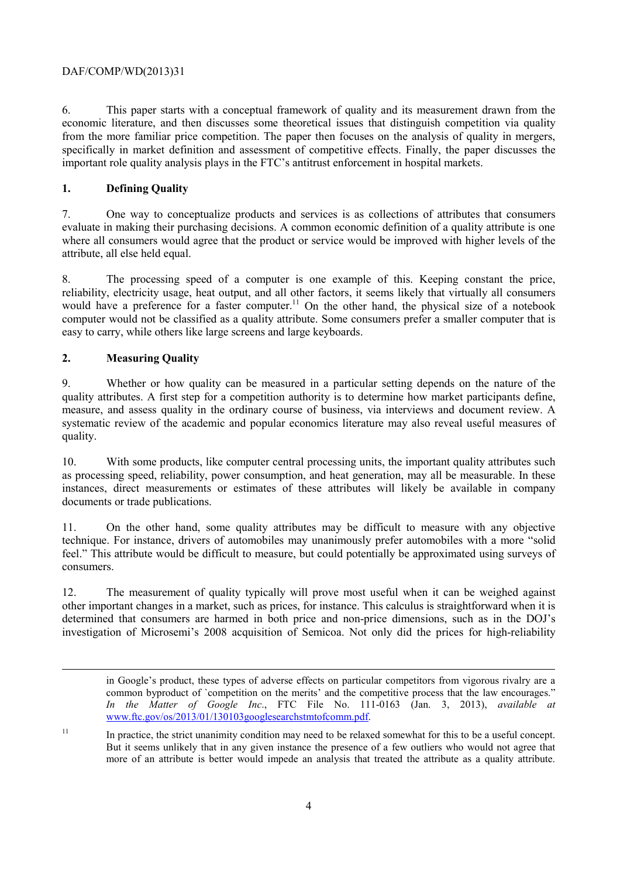6. This paper starts with a conceptual framework of quality and its measurement drawn from the economic literature, and then discusses some theoretical issues that distinguish competition via quality from the more familiar price competition. The paper then focuses on the analysis of quality in mergers, specifically in market definition and assessment of competitive effects. Finally, the paper discusses the important role quality analysis plays in the FTC's antitrust enforcement in hospital markets.

# **1. Defining Quality**

attribute, all else held equal. 7. One way to conceptualize products and services is as collections of attributes that consumers evaluate in making their purchasing decisions. A common economic definition of a quality attribute is one where all consumers would agree that the product or service would be improved with higher levels of the

attribute, all else held equal.<br>8. The processing speed of a computer is one example of this. Keeping constant the price, reliability, electricity usage, heat output, and all other factors, it seems likely that virtually all consumers would have a preference for a faster computer.<sup>11</sup> On the other hand, the physical size of a notebook computer would not be classified as a quality attribute. Some consumers prefer a smaller computer that is easy to carry, while others like large screens and large keyboards.

# **2. Measuring Quality**

1

9. Whether or how quality can be measured in a particular setting depends on the nature of the quality attributes. A first step for a competition authority is to determine how market participants define, measure, and assess quality in the ordinary course of business, via interviews and document review. A systematic review of the academic and popular economics literature may also reveal useful measures of quality.

10. With some products, like computer central processing units, the important quality attributes such as processing speed, reliability, power consumption, and heat generation, may all be measurable. In these instances, direct measurements or estimates of these attributes will likely be available in company documents or trade publications.

11. On the other hand, some quality attributes may be difficult to measure with any objective technique. For instance, drivers of automobiles may unanimously prefer automobiles with a more "solid feel." This attribute would be difficult to measure, but could potentially be approximated using surveys of consumers.

12. The measurement of quality typically will prove most useful when it can be weighed against other important changes in a market, such as prices, for instance. This calculus is straightforward when it is determined that consumers are harmed in both price and non-price dimensions, such as in the DOJ's investigation of Microsemi's 2008 acquisition of Semicoa. Not only did the prices for high-reliability

 in Google's product, these types of adverse effects on particular competitors from vigorous rivalry are a common byproduct of `competition on the merits' and the competitive process that the law encourages." *In the Matter of Google Inc*., FTC File No. 111-0163 (Jan. 3, 2013), *available at*  www.ftc.gov/os/2013/01/130103googlesearchstmtofcomm.pdf.

 But it seems unlikely that in any given instance the presence of a few outliers who would not agree that In practice, the strict unanimity condition may need to be relaxed somewhat for this to be a useful concept. more of an attribute is better would impede an analysis that treated the attribute as a quality attribute. 11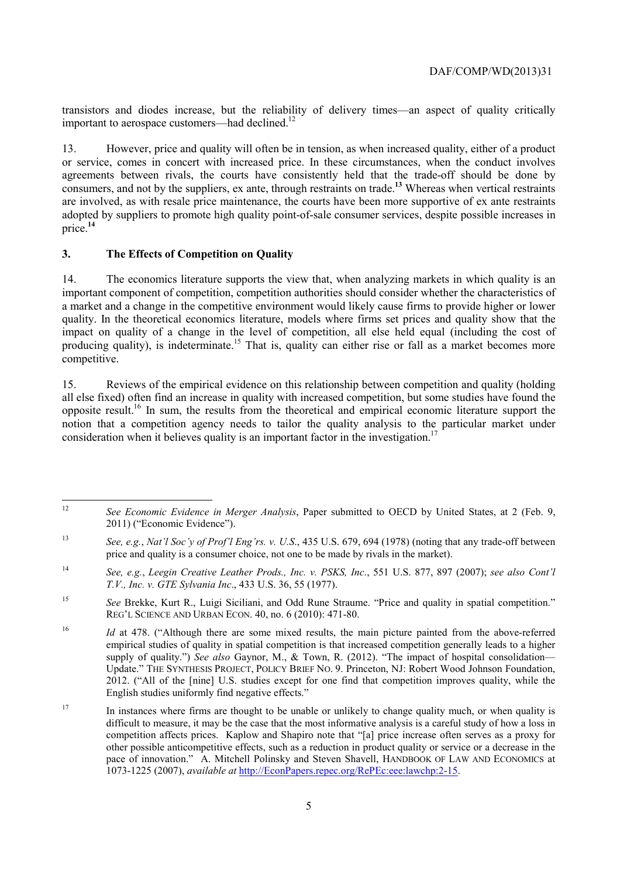important to aerospace customers—had declined. $^{12}$ transistors and diodes increase, but the reliability of delivery times—an aspect of quality critically

 consumers, and not by the suppliers, ex ante, through restraints on trade.**<sup>13</sup>** Whereas when vertical restraints 13. However, price and quality will often be in tension, as when increased quality, either of a product or service, comes in concert with increased price. In these circumstances, when the conduct involves agreements between rivals, the courts have consistently held that the trade-off should be done by are involved, as with resale price maintenance, the courts have been more supportive of ex ante restraints adopted by suppliers to promote high quality point-of-sale consumer services, despite possible increases in price.**<sup>14</sup>**

#### **3. The Effects of Competition on Quality**

14. The economics literature supports the view that, when analyzing markets in which quality is an important component of competition, competition authorities should consider whether the characteristics of a market and a change in the competitive environment would likely cause firms to provide higher or lower quality. In the theoretical economics literature, models where firms set prices and quality show that the impact on quality of a change in the level of competition, all else held equal (including the cost of producing quality), is indeterminate.<sup>15</sup> That is, quality can either rise or fall as a market becomes more competitive.

15. Reviews of the empirical evidence on this relationship between competition and quality (holding all else fixed) often find an increase in quality with increased competition, but some studies have found the opposite result.16 In sum, the results from the theoretical and empirical economic literature support the notion that a competition agency needs to tailor the quality analysis to the particular market under consideration when it believes quality is an important factor in the investigation.<sup>17</sup>

 $12$ <sup>12</sup>*See Economic Evidence in Merger Analysis*, Paper submitted to OECD by United States, at 2 (Feb. 9, 2011) ("Economic Evidence").

 $13$ <sup>13</sup>*See, e.g.*, *Nat'l Soc'y of Prof'l Eng'rs. v. U.S*., 435 U.S. 679, 694 (1978) (noting that any trade-off between price and quality is a consumer choice, not one to be made by rivals in the market).

<sup>14</sup>*See, e.g.*, *Leegin Creative Leather Prods., Inc. v. PSKS, Inc*., 551 U.S. 877, 897 (2007); *see also Cont'l T.V., Inc. v. GTE Sylvania Inc*., 433 U.S. 36, 55 (1977).

REG'L SCIENCE AND URBAN ECON. 40, no. 6 (2010): 471-80. <sup>15</sup>*See* Brekke, Kurt R., Luigi Siciliani, and Odd Rune Straume. "Price and quality in spatial competition."

<sup>16</sup>  Update." THE SYNTHESIS PROJECT, POLICY BRIEF NO. 9. Princeton, NJ: Robert Wood Johnson Foundation, 2012. ("All of the [nine] U.S. studies except for one find that competition improves quality, while the English studies uniformly find negative effects." Id at 478. ("Although there are some mixed results, the main picture painted from the above-referred empirical studies of quality in spatial competition is that increased competition generally leads to a higher supply of quality.") *See also* Gaynor, M., & Town, R. (2012). "The impact of hospital consolidation—

 other possible anticompetitive effects, such as a reduction in product quality or service or a decrease in the <sup>17</sup> In instances where firms are thought to be unable or unlikely to change quality much, or when quality is difficult to measure, it may be the case that the most informative analysis is a careful study of how a loss in competition affects prices. Kaplow and Shapiro note that "[a] price increase often serves as a proxy for pace of innovation." A. Mitchell Polinsky and Steven Shavell, HANDBOOK OF LAW AND ECONOMICS at 1073-1225 (2007), *available at* http://EconPapers.repec.org/RePEc:eee:lawchp:2-15.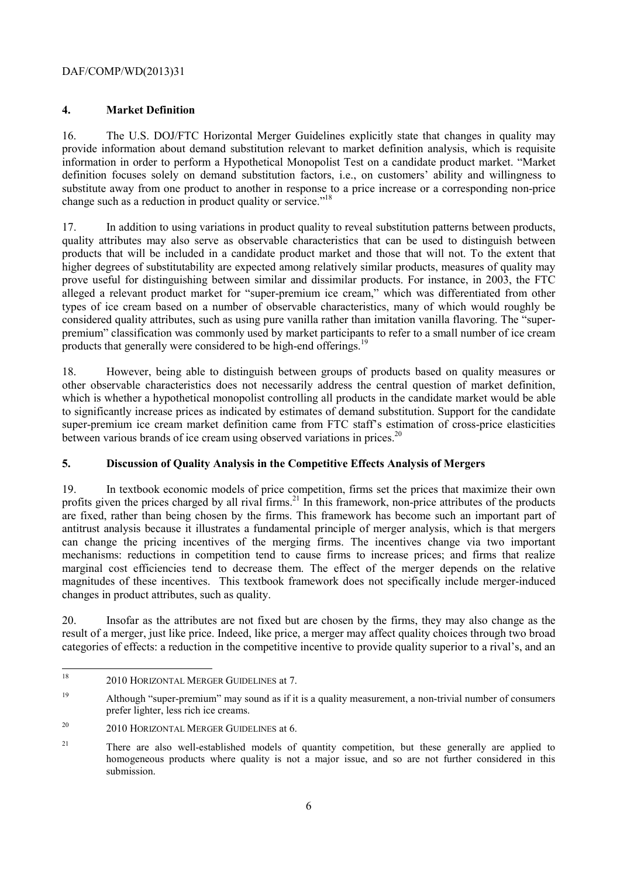# **4. Market Definition**

 16. The U.S. DOJ/FTC Horizontal Merger Guidelines explicitly state that changes in quality may provide information about demand substitution relevant to market definition analysis, which is requisite information in order to perform a Hypothetical Monopolist Test on a candidate product market. "Market definition focuses solely on demand substitution factors, i.e., on customers' ability and willingness to substitute away from one product to another in response to a price increase or a corresponding non-price change such as a reduction in product quality or service."<sup>18</sup>

products that generally were considered to be high-end offerings.<sup>19</sup> 17. In addition to using variations in product quality to reveal substitution patterns between products, quality attributes may also serve as observable characteristics that can be used to distinguish between products that will be included in a candidate product market and those that will not. To the extent that higher degrees of substitutability are expected among relatively similar products, measures of quality may prove useful for distinguishing between similar and dissimilar products. For instance, in 2003, the FTC alleged a relevant product market for "super-premium ice cream," which was differentiated from other types of ice cream based on a number of observable characteristics, many of which would roughly be considered quality attributes, such as using pure vanilla rather than imitation vanilla flavoring. The "superpremium" classification was commonly used by market participants to refer to a small number of ice cream

between various brands of ice cream using observed variations in prices.<sup>20</sup> 18. However, being able to distinguish between groups of products based on quality measures or other observable characteristics does not necessarily address the central question of market definition, which is whether a hypothetical monopolist controlling all products in the candidate market would be able to significantly increase prices as indicated by estimates of demand substitution. Support for the candidate super-premium ice cream market definition came from FTC staff's estimation of cross-price elasticities

# **5. Discussion of Quality Analysis in the Competitive Effects Analysis of Mergers**

profits given the prices charged by all rival firms.<sup>21</sup> In this framework, non-price attributes of the products 19. In textbook economic models of price competition, firms set the prices that maximize their own are fixed, rather than being chosen by the firms. This framework has become such an important part of antitrust analysis because it illustrates a fundamental principle of merger analysis, which is that mergers can change the pricing incentives of the merging firms. The incentives change via two important mechanisms: reductions in competition tend to cause firms to increase prices; and firms that realize marginal cost efficiencies tend to decrease them. The effect of the merger depends on the relative magnitudes of these incentives. This textbook framework does not specifically include merger-induced changes in product attributes, such as quality.

 20. Insofar as the attributes are not fixed but are chosen by the firms, they may also change as the result of a merger, just like price. Indeed, like price, a merger may affect quality choices through two broad categories of effects: a reduction in the competitive incentive to provide quality superior to a rival's, and an

 2010 HORIZONTAL MERGER GUIDELINES at 7.

prefer lighter, less rich ice creams. 19 Although "super-premium" may sound as if it is a quality measurement, a non-trivial number of consumers

 $20$ 2010 HORIZONTAL MERGER GUIDELINES at 6.

 $21$ 21 There are also well-established models of quantity competition, but these generally are applied to homogeneous products where quality is not a major issue, and so are not further considered in this submission.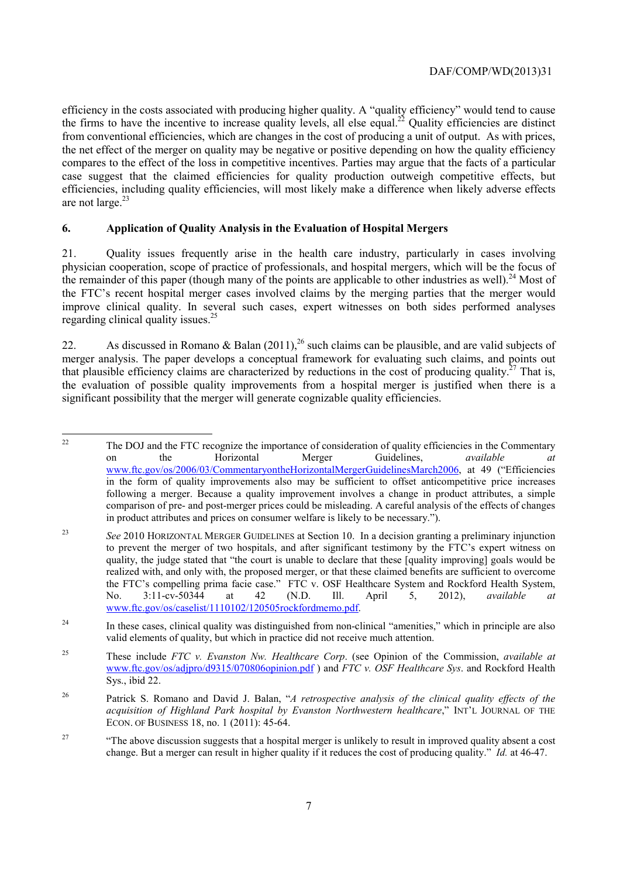are not large.<sup>23</sup> efficiency in the costs associated with producing higher quality. A "quality efficiency" would tend to cause the firms to have the incentive to increase quality levels, all else equal.<sup>22</sup> Quality efficiencies are distinct from conventional efficiencies, which are changes in the cost of producing a unit of output. As with prices, the net effect of the merger on quality may be negative or positive depending on how the quality efficiency compares to the effect of the loss in competitive incentives. Parties may argue that the facts of a particular case suggest that the claimed efficiencies for quality production outweigh competitive effects, but efficiencies, including quality efficiencies, will most likely make a difference when likely adverse effects

# **6. Application of Quality Analysis in the Evaluation of Hospital Mergers**

 physician cooperation, scope of practice of professionals, and hospital mergers, which will be the focus of 21. Quality issues frequently arise in the health care industry, particularly in cases involving the remainder of this paper (though many of the points are applicable to other industries as well).<sup>24</sup> Most of the FTC's recent hospital merger cases involved claims by the merging parties that the merger would improve clinical quality. In several such cases, expert witnesses on both sides performed analyses regarding clinical quality issues.<sup>25</sup>

22. As discussed in Romano & Balan (2011),<sup>26</sup> such claims can be plausible, and are valid subjects of merger analysis. The paper develops a conceptual framework for evaluating such claims, and points out that plausible efficiency claims are characterized by reductions in the cost of producing quality.<sup>27</sup> That is, the evaluation of possible quality improvements from a hospital merger is justified when there is a significant possibility that the merger will generate cognizable quality efficiencies.

 $\overline{a}$ 22 The DOJ and the FTC recognize the importance of consideration of quality efficiencies in the Commentary on the Horizontal Merger Guidelines, *available at*  www.ftc.gov/os/2006/03/CommentaryontheHorizontalMergerGuidelinesMarch2006, at 49 ("Efficiencies in the form of quality improvements also may be sufficient to offset anticompetitive price increases following a merger. Because a quality improvement involves a change in product attributes, a simple comparison of pre- and post-merger prices could be misleading. A careful analysis of the effects of changes in product attributes and prices on consumer welfare is likely to be necessary.").

 quality, the judge stated that "the court is unable to declare that these [quality improving] goals would be <sup>23</sup> *See* 2010 HORIZONTAL MERGER GUIDELINES at Section 10. In a decision granting a preliminary injunction to prevent the merger of two hospitals, and after significant testimony by the FTC's expert witness on realized with, and only with, the proposed merger, or that these claimed benefits are sufficient to overcome the FTC's compelling prima facie case." FTC v. OSF Healthcare System and Rockford Health System, No. 3:11-cv-50344 at 42 (N.D. Ill. April 5, 2012), *available at*  www.ftc.gov/os/caselist/1110102/120505rockfordmemo.pdf.

<sup>&</sup>lt;sup>24</sup> In these cases, clinical quality was distinguished from non-clinical "amenities," which in principle are also valid elements of quality, but which in practice did not receive much attention.

<sup>25</sup> These include *FTC v. Evanston Nw. Healthcare Corp*. (see Opinion of the Commission, *available at*  www.ftc.gov/os/adjpro/d9315/070806opinion.pdf ) and *FTC v. OSF Healthcare Sys*. and Rockford Health Sys., ibid 22.

 *acquisition of Highland Park hospital by Evanston Northwestern healthcare*," INT'L JOURNAL OF THE 26 Patrick S. Romano and David J. Balan, "*A retrospective analysis of the clinical quality effects of the*  ECON. OF BUSINESS 18, no. 1 (2011): 45-64.

<sup>27</sup> 27 "The above discussion suggests that a hospital merger is unlikely to result in improved quality absent a cost change. But a merger can result in higher quality if it reduces the cost of producing quality." *Id.* at 46-47.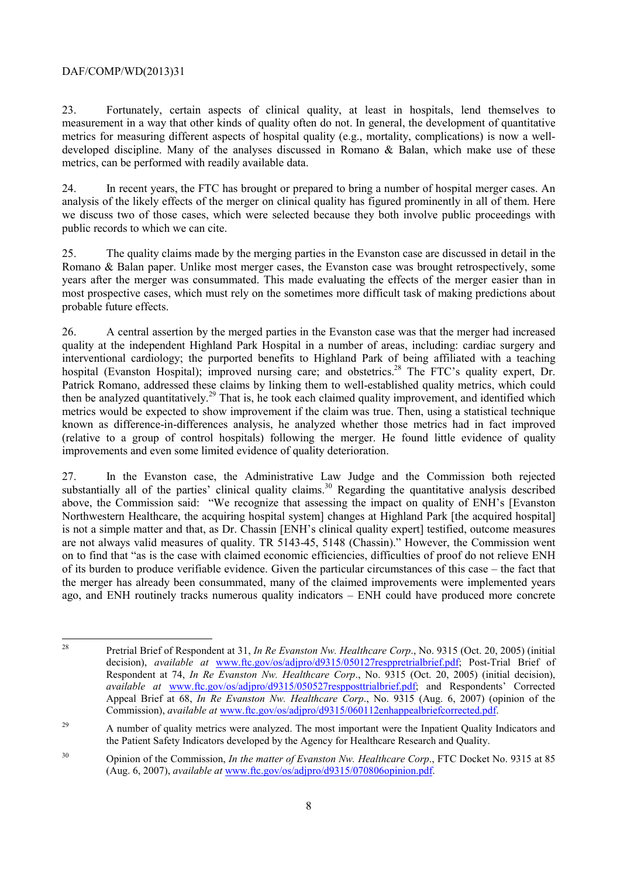$\overline{a}$ 

23. Fortunately, certain aspects of clinical quality, at least in hospitals, lend themselves to measurement in a way that other kinds of quality often do not. In general, the development of quantitative metrics for measuring different aspects of hospital quality (e.g., mortality, complications) is now a welldeveloped discipline. Many of the analyses discussed in Romano & Balan, which make use of these metrics, can be performed with readily available data.

24. In recent years, the FTC has brought or prepared to bring a number of hospital merger cases. An analysis of the likely effects of the merger on clinical quality has figured prominently in all of them. Here we discuss two of those cases, which were selected because they both involve public proceedings with public records to which we can cite.

25. The quality claims made by the merging parties in the Evanston case are discussed in detail in the Romano & Balan paper. Unlike most merger cases, the Evanston case was brought retrospectively, some years after the merger was consummated. This made evaluating the effects of the merger easier than in most prospective cases, which must rely on the sometimes more difficult task of making predictions about probable future effects.

26. A central assertion by the merged parties in the Evanston case was that the merger had increased quality at the independent Highland Park Hospital in a number of areas, including: cardiac surgery and interventional cardiology; the purported benefits to Highland Park of being affiliated with a teaching hospital (Evanston Hospital); improved nursing care; and obstetrics.<sup>28</sup> The FTC's quality expert, Dr. Patrick Romano, addressed these claims by linking them to well-established quality metrics, which could then be analyzed quantitatively.<sup>29</sup> That is, he took each claimed quality improvement, and identified which metrics would be expected to show improvement if the claim was true. Then, using a statistical technique known as difference-in-differences analysis, he analyzed whether those metrics had in fact improved (relative to a group of control hospitals) following the merger. He found little evidence of quality improvements and even some limited evidence of quality deterioration.

27. In the Evanston case, the Administrative Law Judge and the Commission both rejected substantially all of the parties' clinical quality claims.<sup>30</sup> Regarding the quantitative analysis described above, the Commission said: "We recognize that assessing the impact on quality of ENH's [Evanston Northwestern Healthcare, the acquiring hospital system] changes at Highland Park [the acquired hospital] is not a simple matter and that, as Dr. Chassin [ENH's clinical quality expert] testified, outcome measures are not always valid measures of quality. TR 5143-45, 5148 (Chassin)." However, the Commission went on to find that "as is the case with claimed economic efficiencies, difficulties of proof do not relieve ENH of its burden to produce verifiable evidence. Given the particular circumstances of this case – the fact that the merger has already been consummated, many of the claimed improvements were implemented years ago, and ENH routinely tracks numerous quality indicators – ENH could have produced more concrete

<sup>28</sup> Pretrial Brief of Respondent at 31, *In Re Evanston Nw. Healthcare Corp*., No. 9315 (Oct. 20, 2005) (initial decision), *available at www.ftc.gov/os/adjpro/d9315/050127resppretrialbrief.pdf*; Post-Trial Brief of Respondent at 74, *In Re Evanston Nw. Healthcare Corp*., No. 9315 (Oct. 20, 2005) (initial decision), *available at* www.ftc.gov/os/adjpro/d9315/050527respposttrialbrief.pdf; and Respondents' Corrected Appeal Brief at 68, *In Re Evanston Nw. Healthcare Corp*., No. 9315 (Aug. 6, 2007) (opinion of the Commission), *available at* www.ftc.gov/os/adjpro/d9315/060112enhappealbriefcorrected.pdf.

 $29$  A number of quality metrics were analyzed. The most important were the Inpatient Quality Indicators and the Patient Safety Indicators developed by the Agency for Healthcare Research and Quality.

<sup>30</sup> Opinion of the Commission, *In the matter of Evanston Nw. Healthcare Corp*., FTC Docket No. 9315 at 85 (Aug. 6, 2007), *available at* www.ftc.gov/os/adjpro/d9315/070806opinion.pdf.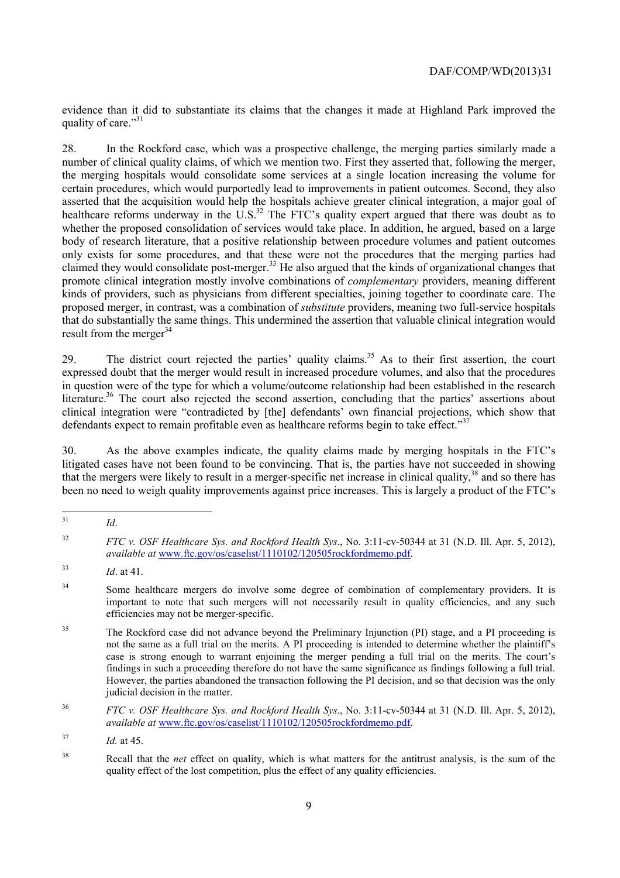evidence than it did to substantiate its claims that the changes it made at Highland Park improved the quality of care."<sup>31</sup>

28. In the Rockford case, which was a prospective challenge, the merging parties similarly made a number of clinical quality claims, of which we mention two. First they asserted that, following the merger, the merging hospitals would consolidate some services at a single location increasing the volume for certain procedures, which would purportedly lead to improvements in patient outcomes. Second, they also asserted that the acquisition would help the hospitals achieve greater clinical integration, a major goal of healthcare reforms underway in the U.S.<sup>32</sup> The FTC's quality expert argued that there was doubt as to whether the proposed consolidation of services would take place. In addition, he argued, based on a large body of research literature, that a positive relationship between procedure volumes and patient outcomes only exists for some procedures, and that these were not the procedures that the merging parties had claimed they would consolidate post-merger.<sup>33</sup> He also argued that the kinds of organizational changes that promote clinical integration mostly involve combinations of *complementary* providers, meaning different kinds of providers, such as physicians from different specialties, joining together to coordinate care. The proposed merger, in contrast, was a combination of *substitute* providers, meaning two full-service hospitals that do substantially the same things. This undermined the assertion that valuable clinical integration would result from the merger  $34$ 

29. The district court rejected the parties' quality claims.<sup>35</sup> As to their first assertion, the court expressed doubt that the merger would result in increased procedure volumes, and also that the procedures in question were of the type for which a volume/outcome relationship had been established in the research literature.<sup>36</sup> The court also rejected the second assertion, concluding that the parties' assertions about clinical integration were "contradicted by [the] defendants' own financial projections, which show that defendants expect to remain profitable even as healthcare reforms begin to take effect."<sup>37</sup>

30. As the above examples indicate, the quality claims made by merging hospitals in the FTC's litigated cases have not been found to be convincing. That is, the parties have not succeeded in showing that the mergers were likely to result in a merger-specific net increase in clinical quality.<sup>38</sup> and so there has been no need to weigh quality improvements against price increases. This is largely a product of the FTC's

 $\overline{a}$ <sup>31</sup>*Id*.

<sup>32</sup> <sup>32</sup>*FTC v. OSF Healthcare Sys. and Rockford Health Sys*., No. 3:11-cv-50344 at 31 (N.D. Ill. Apr. 5, 2012), *available at* www.ftc.gov/os/caselist/1110102/120505rockfordmemo.pdf.

<sup>33</sup> <sup>33</sup>*Id*. at 41.

 important to note that such mergers will not necessarily result in quality efficiencies, and any such <sup>34</sup> Some healthcare mergers do involve some degree of combination of complementary providers. It is efficiencies may not be merger-specific.

 findings in such a proceeding therefore do not have the same significance as findings following a full trial. However, the parties abandoned the transaction following the PI decision, and so that decision was the only <sup>35</sup> The Rockford case did not advance beyond the Preliminary Injunction (PI) stage, and a PI proceeding is not the same as a full trial on the merits. A PI proceeding is intended to determine whether the plaintiff's case is strong enough to warrant enjoining the merger pending a full trial on the merits. The court's judicial decision in the matter.

<sup>36</sup>*FTC v. OSF Healthcare Sys. and Rockford Health Sys*., No. 3:11-cv-50344 at 31 (N.D. Ill. Apr. 5, 2012), *available at* www.ftc.gov/os/caselist/1110102/120505rockfordmemo.pdf.

<sup>37</sup> *Id.* at 45.

<sup>38</sup> Recall that the *net* effect on quality, which is what matters for the antitrust analysis, is the sum of the quality effect of the lost competition, plus the effect of any quality efficiencies.